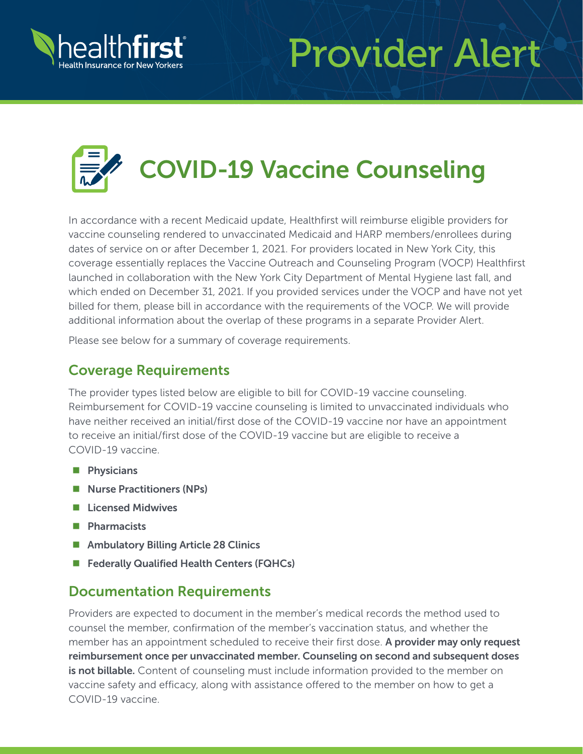

## Provider Alert



In accordance with a recent Medicaid update, Healthfirst will reimburse eligible providers for vaccine counseling rendered to unvaccinated Medicaid and HARP members/enrollees during dates of service on or after December 1, 2021. For providers located in New York City, this coverage essentially replaces the Vaccine Outreach and Counseling Program (VOCP) Healthfirst launched in collaboration with the New York City Department of Mental Hygiene last fall, and which ended on December 31, 2021. If you provided services under the VOCP and have not yet billed for them, please bill in accordance with the requirements of the VOCP. We will provide additional information about the overlap of these programs in a separate Provider Alert.

Please see below for a summary of coverage requirements.

## Coverage Requirements

The provider types listed below are eligible to bill for COVID-19 vaccine counseling. Reimbursement for COVID-19 vaccine counseling is limited to unvaccinated individuals who have neither received an initial/first dose of the COVID-19 vaccine nor have an appointment to receive an initial/first dose of the COVID-19 vaccine but are eligible to receive a COVID-19 vaccine.

- **Physicians**
- Nurse Practitioners (NPs)
- **Licensed Midwives**
- **Pharmacists**
- Ambulatory Billing Article 28 Clinics
- Federally Qualified Health Centers (FQHCs)

## Documentation Requirements

Providers are expected to document in the member's medical records the method used to counsel the member, confirmation of the member's vaccination status, and whether the member has an appointment scheduled to receive their first dose. A provider may only request reimbursement once per unvaccinated member. Counseling on second and subsequent doses is not billable. Content of counseling must include information provided to the member on vaccine safety and efficacy, along with assistance offered to the member on how to get a COVID-19 vaccine.